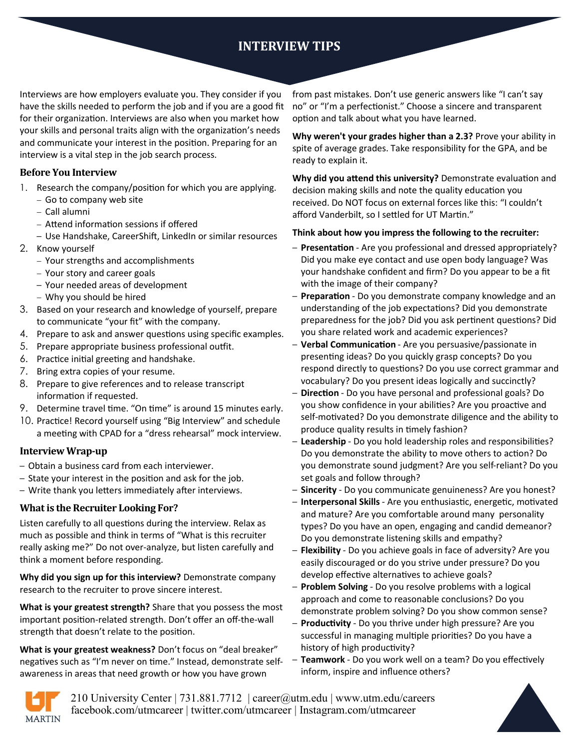# **INTERVIEW TIPS**

Interviews are how employers evaluate you. They consider if you have the skills needed to perform the job and if you are a good fit for their organization. Interviews are also when you market how your skills and personal traits align with the organization's needs and communicate your interest in the position. Preparing for an interview is a vital step in the job search process.

### **Before You Interview**

- 1. Research the company/position for which you are applying.
	- − Go to company web site
	- − Call alumni
	- − Attend information sessions if offered
	- Use Handshake, CareerShift, LinkedIn or similar resources
- 2. Know yourself
	- − Your strengths and accomplishments
	- − Your story and career goals
	- Your needed areas of development
	- − Why you should be hired
- 3. Based on your research and knowledge of yourself, prepare to communicate "your fit" with the company.
- 4. Prepare to ask and answer questions using specific examples.
- 5. Prepare appropriate business professional outfit.
- 6. Practice initial greeting and handshake.
- 7. Bring extra copies of your resume.
- 8. Prepare to give references and to release transcript information if requested.
- 9. Determine travel time. "On time" is around 15 minutes early.
- 10. Practice! Record yourself using "Big Interview" and schedule a meeting with CPAD for a "dress rehearsal" mock interview.

### **Interview Wrap-up**

- Obtain a business card from each interviewer.
- State your interest in the position and ask for the job.
- Write thank you letters immediately after interviews.

### **What is the Recruiter Looking For?**

Listen carefully to all questions during the interview. Relax as much as possible and think in terms of "What is this recruiter really asking me?" Do not over-analyze, but listen carefully and think a moment before responding.

**Why did you sign up for this interview?** Demonstrate company research to the recruiter to prove sincere interest.

**What is your greatest strength?** Share that you possess the most important position-related strength. Don't offer an off-the-wall strength that doesn't relate to the position.

**What is your greatest weakness?** Don't focus on "deal breaker" negatives such as "I'm never on time." Instead, demonstrate selfawareness in areas that need growth or how you have grown

from past mistakes. Don't use generic answers like "I can't say no" or "I'm a perfectionist." Choose a sincere and transparent option and talk about what you have learned.

**Why weren't your grades higher than a 2.3?** Prove your ability in spite of average grades. Take responsibility for the GPA, and be ready to explain it.

**Why did you attend this university?** Demonstrate evaluation and decision making skills and note the quality education you received. Do NOT focus on external forces like this: "I couldn't afford Vanderbilt, so I settled for UT Martin."

### **Think about how you impress the following to the recruiter:**

- **Presentation**  Are you professional and dressed appropriately? Did you make eye contact and use open body language? Was your handshake confident and firm? Do you appear to be a fit with the image of their company?
- **Preparation**  Do you demonstrate company knowledge and an understanding of the job expectations? Did you demonstrate preparedness for the job? Did you ask pertinent questions? Did you share related work and academic experiences?
- **Verbal Communication**  Are you persuasive/passionate in presenting ideas? Do you quickly grasp concepts? Do you respond directly to questions? Do you use correct grammar and vocabulary? Do you present ideas logically and succinctly?
- **Direction**  Do you have personal and professional goals? Do you show confidence in your abilities? Are you proactive and self-motivated? Do you demonstrate diligence and the ability to produce quality results in timely fashion?
- **Leadership**  Do you hold leadership roles and responsibilities? Do you demonstrate the ability to move others to action? Do you demonstrate sound judgment? Are you self-reliant? Do you set goals and follow through?
- **Sincerity**  Do you communicate genuineness? Are you honest?
- **Interpersonal Skills**  Are you enthusiastic, energetic, motivated and mature? Are you comfortable around many personality types? Do you have an open, engaging and candid demeanor? Do you demonstrate listening skills and empathy?
- **Flexibility**  Do you achieve goals in face of adversity? Are you easily discouraged or do you strive under pressure? Do you develop effective alternatives to achieve goals?
- **Problem Solving**  Do you resolve problems with a logical approach and come to reasonable conclusions? Do you demonstrate problem solving? Do you show common sense?
- **Productivity**  Do you thrive under high pressure? Are you successful in managing multiple priorities? Do you have a history of high productivity?
- **Teamwork**  Do you work well on a team? Do you effectively inform, inspire and influence others?



210 University Center | 731.881.7712 | career@utm.edu | www.utm.edu/careers facebook.com/utmcareer | twitter.com/utmcareer | Instagram.com/utmcareer

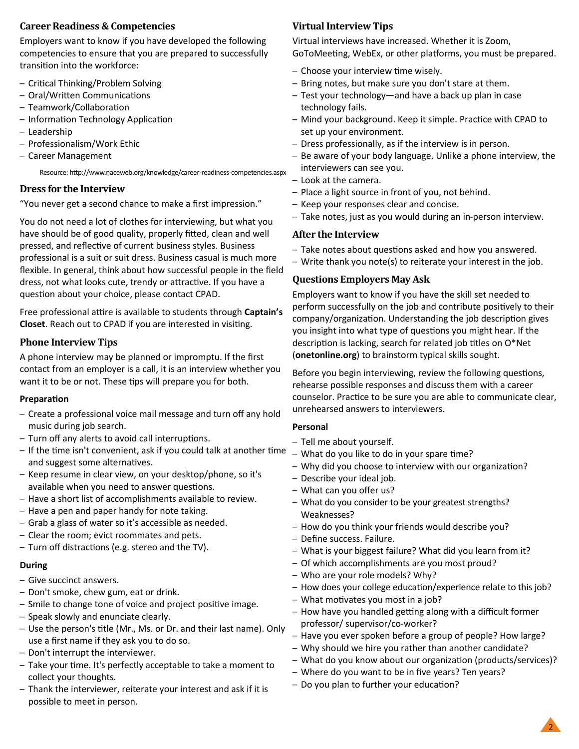### **Career Readiness & Competencies**

Employers want to know if you have developed the following competencies to ensure that you are prepared to successfully transition into the workforce:

- Critical Thinking/Problem Solving
- Oral/Written Communications
- Teamwork/Collaboration
- Information Technology Application
- Leadership
- Professionalism/Work Ethic
- Career Management

Resource: http://www.naceweb.org/knowledge/career-readiness-competencies.aspx

### **Dress for the Interview**

"You never get a second chance to make a first impression."

You do not need a lot of clothes for interviewing, but what you have should be of good quality, properly fitted, clean and well pressed, and reflective of current business styles. Business professional is a suit or suit dress. Business casual is much more flexible. In general, think about how successful people in the field dress, not what looks cute, trendy or attractive. If you have a question about your choice, please contact CPAD.

Free professional attire is available to students through **Captain's Closet**. Reach out to CPAD if you are interested in visiting.

### **Phone Interview Tips**

A phone interview may be planned or impromptu. If the first contact from an employer is a call, it is an interview whether you want it to be or not. These tips will prepare you for both.

#### **Preparation**

- Create a professional voice mail message and turn off any hold music during job search.
- Turn off any alerts to avoid call interruptions.
- If the time isn't convenient, ask if you could talk at another time and suggest some alternatives.
- Keep resume in clear view, on your desktop/phone, so it's available when you need to answer questions.
- Have a short list of accomplishments available to review.
- Have a pen and paper handy for note taking.
- Grab a glass of water so it's accessible as needed.
- Clear the room; evict roommates and pets.
- Turn off distractions (e.g. stereo and the TV).

#### **During**

- Give succinct answers.
- Don't smoke, chew gum, eat or drink.
- Smile to change tone of voice and project positive image.
- Speak slowly and enunciate clearly.
- Use the person's title (Mr., Ms. or Dr. and their last name). Only use a first name if they ask you to do so.
- Don't interrupt the interviewer.
- Take your time. It's perfectly acceptable to take a moment to collect your thoughts.
- Thank the interviewer, reiterate your interest and ask if it is possible to meet in person.

## **Virtual Interview Tips**

Virtual interviews have increased. Whether it is Zoom, GoToMeeting, WebEx, or other platforms, you must be prepared.

- Choose your interview time wisely.
- Bring notes, but make sure you don't stare at them.
- Test your technology—and have a back up plan in case technology fails.
- Mind your background. Keep it simple. Practice with CPAD to set up your environment.
- Dress professionally, as if the interview is in person.
- Be aware of your body language. Unlike a phone interview, the interviewers can see you.
- Look at the camera.
- Place a light source in front of you, not behind.
- Keep your responses clear and concise.
- Take notes, just as you would during an in-person interview.

### **After the Interview**

- Take notes about questions asked and how you answered.
- Write thank you note(s) to reiterate your interest in the job.

### **Questions Employers May Ask**

Employers want to know if you have the skill set needed to perform successfully on the job and contribute positively to their company/organization. Understanding the job description gives you insight into what type of questions you might hear. If the description is lacking, search for related job titles on O\*Net (**onetonline.org**) to brainstorm typical skills sought.

Before you begin interviewing, review the following questions, rehearse possible responses and discuss them with a career counselor. Practice to be sure you are able to communicate clear, unrehearsed answers to interviewers.

### **Personal**

- Tell me about yourself.
- What do you like to do in your spare time?
- Why did you choose to interview with our organization?
- Describe your ideal job.
- What can you offer us?
- What do you consider to be your greatest strengths? Weaknesses?
- How do you think your friends would describe you?
- Define success. Failure.
- What is your biggest failure? What did you learn from it?
- Of which accomplishments are you most proud?
- Who are your role models? Why?
- How does your college education/experience relate to this job?
- What motivates you most in a job?
- How have you handled getting along with a difficult former professor/ supervisor/co-worker?
- Have you ever spoken before a group of people? How large?
- Why should we hire you rather than another candidate?
- What do you know about our organization (products/services)?
- Where do you want to be in five years? Ten years?
- Do you plan to further your education?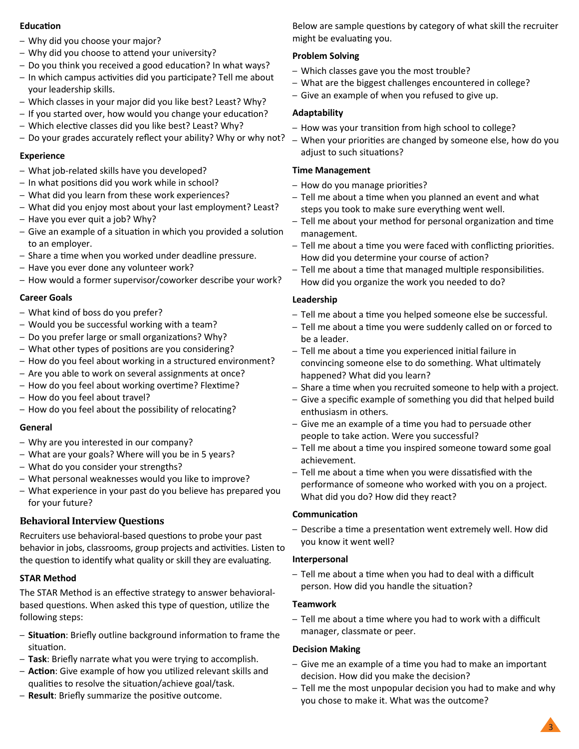### **Education**

- Why did you choose your major?
- Why did you choose to attend your university?
- Do you think you received a good education? In what ways?
- In which campus activities did you participate? Tell me about your leadership skills.
- Which classes in your major did you like best? Least? Why?
- If you started over, how would you change your education?
- Which elective classes did you like best? Least? Why?
- Do your grades accurately reflect your ability? Why or why not?

### **Experience**

- What job-related skills have you developed?
- In what positions did you work while in school?
- What did you learn from these work experiences?
- What did you enjoy most about your last employment? Least?
- Have you ever quit a job? Why?
- Give an example of a situation in which you provided a solution to an employer.
- Share a time when you worked under deadline pressure.
- Have you ever done any volunteer work?
- How would a former supervisor/coworker describe your work?

### **Career Goals**

- What kind of boss do you prefer?
- Would you be successful working with a team?
- Do you prefer large or small organizations? Why?
- What other types of positions are you considering?
- How do you feel about working in a structured environment?
- Are you able to work on several assignments at once?
- How do you feel about working overtime? Flextime?
- How do you feel about travel?
- How do you feel about the possibility of relocating?

### **General**

- Why are you interested in our company?
- What are your goals? Where will you be in 5 years?
- What do you consider your strengths?
- What personal weaknesses would you like to improve?
- What experience in your past do you believe has prepared you for your future?

# **Behavioral Interview Questions**

Recruiters use behavioral-based questions to probe your past behavior in jobs, classrooms, group projects and activities. Listen to the question to identify what quality or skill they are evaluating.

### **STAR Method**

The STAR Method is an effective strategy to answer behavioralbased questions. When asked this type of question, utilize the following steps:

- **Situation**: Briefly outline background information to frame the situation.
- **Task**: Briefly narrate what you were trying to accomplish.
- **Action**: Give example of how you utilized relevant skills and qualities to resolve the situation/achieve goal/task.
- **Result**: Briefly summarize the positive outcome.

Below are sample questions by category of what skill the recruiter might be evaluating you.

### **Problem Solving**

- Which classes gave you the most trouble?
- What are the biggest challenges encountered in college?
- Give an example of when you refused to give up.

### **Adaptability**

- How was your transition from high school to college?
- When your priorities are changed by someone else, how do you adjust to such situations?

### **Time Management**

- How do you manage priorities?
- Tell me about a time when you planned an event and what steps you took to make sure everything went well.
- Tell me about your method for personal organization and time management.
- Tell me about a time you were faced with conflicting priorities. How did you determine your course of action?
- Tell me about a time that managed multiple responsibilities. How did you organize the work you needed to do?

### **Leadership**

- Tell me about a time you helped someone else be successful.
- Tell me about a time you were suddenly called on or forced to be a leader.
- Tell me about a time you experienced initial failure in convincing someone else to do something. What ultimately happened? What did you learn?
- Share a time when you recruited someone to help with a project.
- Give a specific example of something you did that helped build enthusiasm in others.
- Give me an example of a time you had to persuade other people to take action. Were you successful?
- Tell me about a time you inspired someone toward some goal achievement.
- Tell me about a time when you were dissatisfied with the performance of someone who worked with you on a project. What did you do? How did they react?

### **Communication**

– Describe a time a presentation went extremely well. How did you know it went well?

### **Interpersonal**

– Tell me about a time when you had to deal with a difficult person. How did you handle the situation?

### **Teamwork**

– Tell me about a time where you had to work with a difficult manager, classmate or peer.

### **Decision Making**

- Give me an example of a time you had to make an important decision. How did you make the decision?
- Tell me the most unpopular decision you had to make and why you chose to make it. What was the outcome?